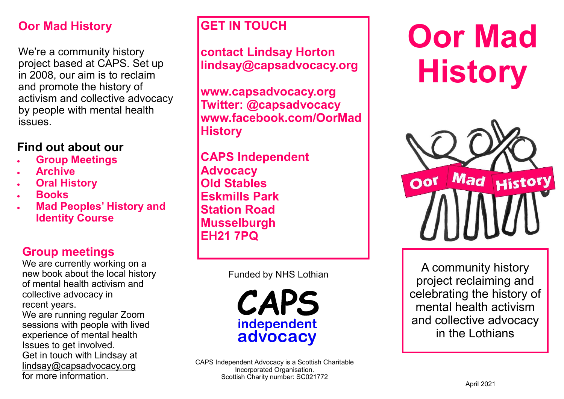# **Oor Mad History**

We're a community history project based at CAPS. Set up in 2008, our aim is to reclaim and promote the history of activism and collective advocacy by people with mental health issues.

## **Find out about our**

- **Group Meetings**
- **Archive**
- **Oral History**
- **Books**
- **Mad Peoples' History and Identity Course**

## **Group meetings**

We are currently working on a new book about the local history of mental health activism and collective advocacy in recent years.

We are running regular Zoom sessions with people with lived experience of mental health Issues to get involved. Get in touch with Lindsay at lindsay@capsadvocacy.org for more information.

## **GET IN TOUCH**

**contact Lindsay Horton lindsay@capsadvocacy.org**

**www.capsadvocacy.org Twitter: @capsadvocacy www.facebook.com/OorMad History**

**CAPS Independent Advocacy Old Stables Eskmills Park Station Road Musselburgh EH21 7PQ**

Funded by NHS Lothian

CAPS independent advocacy

# **Oor Mad History**



A community history project reclaiming and celebrating the history of mental health activism and collective advocacy in the Lothians